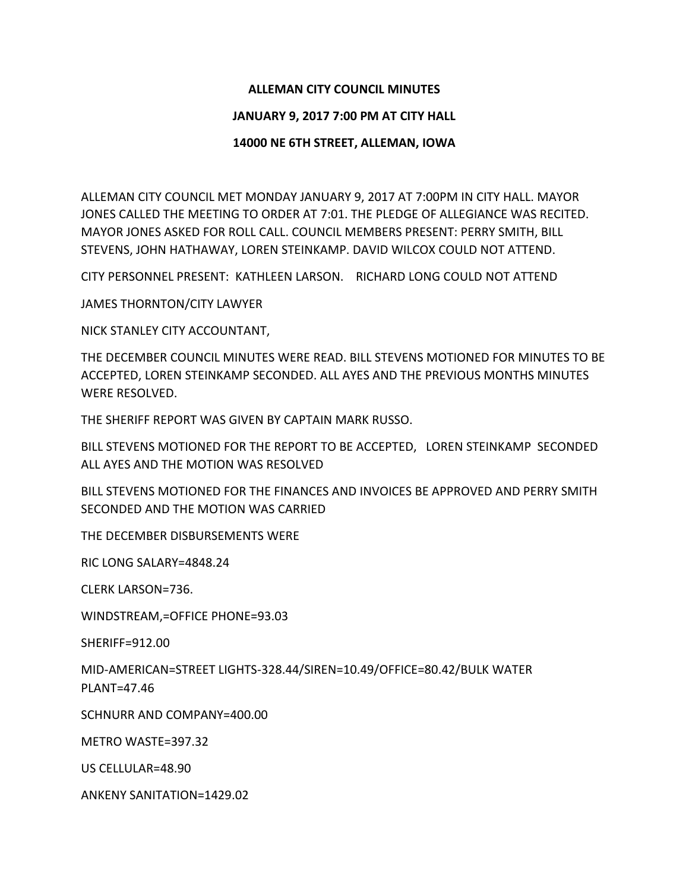## **ALLEMAN CITY COUNCIL MINUTES**

## **JANUARY 9, 2017 7:00 PM AT CITY HALL**

## **14000 NE 6TH STREET, ALLEMAN, IOWA**

ALLEMAN CITY COUNCIL MET MONDAY JANUARY 9, 2017 AT 7:00PM IN CITY HALL. MAYOR JONES CALLED THE MEETING TO ORDER AT 7:01. THE PLEDGE OF ALLEGIANCE WAS RECITED. MAYOR JONES ASKED FOR ROLL CALL. COUNCIL MEMBERS PRESENT: PERRY SMITH, BILL STEVENS, JOHN HATHAWAY, LOREN STEINKAMP. DAVID WILCOX COULD NOT ATTEND.

CITY PERSONNEL PRESENT: KATHLEEN LARSON. RICHARD LONG COULD NOT ATTEND

JAMES THORNTON/CITY LAWYER

NICK STANLEY CITY ACCOUNTANT,

THE DECEMBER COUNCIL MINUTES WERE READ. BILL STEVENS MOTIONED FOR MINUTES TO BE ACCEPTED, LOREN STEINKAMP SECONDED. ALL AYES AND THE PREVIOUS MONTHS MINUTES WERE RESOLVED.

THE SHERIFF REPORT WAS GIVEN BY CAPTAIN MARK RUSSO.

BILL STEVENS MOTIONED FOR THE REPORT TO BE ACCEPTED, LOREN STEINKAMP SECONDED ALL AYES AND THE MOTION WAS RESOLVED

BILL STEVENS MOTIONED FOR THE FINANCES AND INVOICES BE APPROVED AND PERRY SMITH SECONDED AND THE MOTION WAS CARRIED

THE DECEMBER DISBURSEMENTS WERE

RIC LONG SALARY=4848.24

CLERK LARSON=736.

WINDSTREAM,=OFFICE PHONE=93.03

SHERIFF=912.00

MID-AMERICAN=STREET LIGHTS-328.44/SIREN=10.49/OFFICE=80.42/BULK WATER PLANT=47.46

SCHNURR AND COMPANY=400.00

METRO WASTE=397.32

US CELLULAR=48.90

ANKENY SANITATION=1429.02